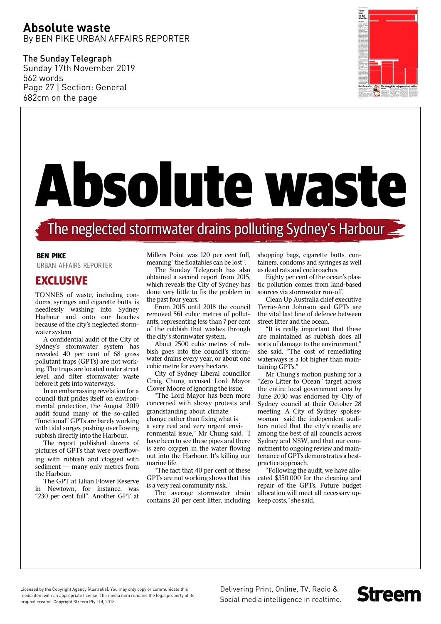## **Absolute waste** By BEN PIKE URBAN AFFAIRS REPORTER

The Sunday Telegraph Sunday 17th November 2019 562 words Page 27 | Section: General 682cm on the page



# Absolute waste

# The neglected stormwater drains polluting Sydney's Harbour

#### **BEN PIKE**

URBAN AFFAIRS REPORTER

### **EXCLUSIVE**

TONNES of waste, including condoms, syringes and cigarette butts, is needlessly washing into Sydney Harbour and onto our beaches because of the city's neglected stormwater system.

A confidential audit of the City of Sydney's stormwater system has revealed 40 per cent of 68 gross pollutant traps (GPTs) are not working. The traps are located under street level, and filter stormwater waste before it gets into waterways.

In an embarrassing revelation for a council that prides itself on environmental protection, the August 2019 audit found many of the so-called "functional" GPTs are barely working with tidal surges pushing overflowing rubbish directly into the Harbour.

The report published dozens of pictures of GPTs that were overflowing with rubbish and clogged with sediment — many only metres from the Harbour.

The GPT at Lilian Flower Reserve in Newtown, for instance, was "230 per cent full". Another GPT at

Millers Point was 120 per cent full, meaning "the floatables can be lost".

The Sunday Telegraph has also obtained a second report from 2015, which reveals the City of Sydney has done very little to fix the problem in the past four years.

From 2015 until 2018 the council removed 561 cubic metres of pollutants, representing less than 7 per cent of the rubbish that washes through the city's stormwater system.

About 2500 cubic metres of rubbish goes into the council's stormwater drains every year, or about one cubic metre for every hectare.

City of Sydney Liberal councillor Craig Chung accused Lord Mayor Clover Moore of ignoring the issue.

"The Lord Mayor has been more concerned with showy protests and grandstanding about climate change rather than fixing what is a very real and very urgent environmental issue," Mr Chung said. "I have been to see these pipes and there is zero oxygen in the water flowing out into the Harbour. It's killing our marine life.

"The fact that 40 per cent of these GPTs are not working shows that this is a very real community risk."

The average stormwater drain contains 20 per cent litter, including shopping bags, cigarette butts, containers, condoms and syringes as well as dead rats and cockroaches.

Eighty per cent of the ocean's plastic pollution comes from land-based sources via stormwater run-off.

Clean Up Australia chief executive Terrie-Ann Johnson said GPTs are the vital last line of defence between street litter and the ocean.

"It is really important that these are maintained as rubbish does all sorts of damage to the environment," she said. "The cost of remediating waterways is a lot higher than maintaining GPTs."

Mr Chung's motion pushing for a "Zero Litter to Ocean" target across the entire local government area by June 2030 was endorsed by City of Sydney council at their October 28 meeting. A City of Sydney spokeswoman said the independent auditors noted that the city's results are among the best of all councils across Sydney and NSW, and that our commitment to ongoing review and maintenance of GPTs demonstrates a bestpractice approach.

"Following the audit, we have allocated \$350,000 for the cleaning and repair of the GPTs. Future budget allocation will meet all necessary upkeep costs," she said.

**Streem** 

Licensed by the Copyright Agency (Australia). You may only copy or communicate this media item with an appropriate license. The media item remains the legal property of its original creator. Copyright Streem Pty Ltd, 2018

Delivering Print, Online, TV, Radio & Social media intelligence in realtime.